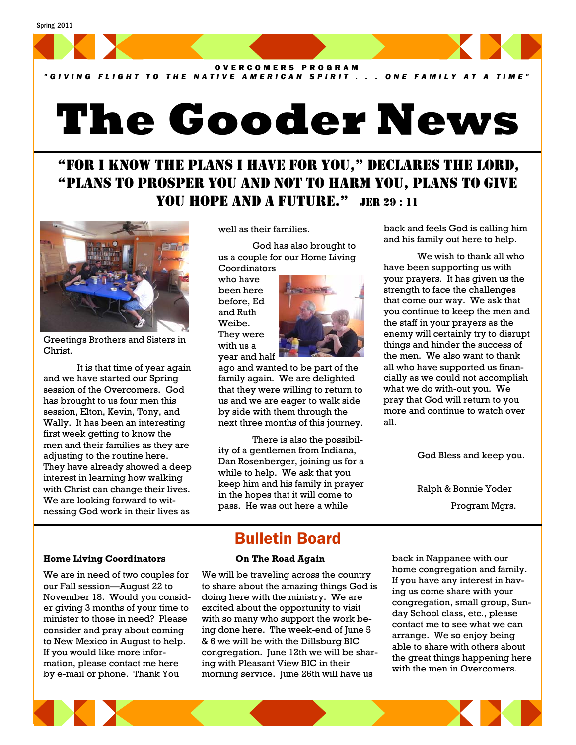

*"GIVING FLIGHT TO THE NATIVE AMERICAN SPIRIT . . . ONE FAMILY AT A TIME"*

# **The Gooder News**

# "FOR I KNOW THE PLANS I HAVE FOR YOU," DECLARES THE LORD, "PLANS TO PROSPER YOU AND NOT TO HARM YOU, PLANS TO GIVE YOU HOPE AND A FUTURE." JER 29:11



Greetings Brothers and Sisters in Christ.

 It is that time of year again and we have started our Spring session of the Overcomers. God has brought to us four men this session, Elton, Kevin, Tony, and Wally. It has been an interesting first week getting to know the men and their families as they are adjusting to the routine here. They have already showed a deep interest in learning how walking with Christ can change their lives. We are looking forward to witnessing God work in their lives as

well as their families.

 God has also brought to us a couple for our Home Living **Coordinators** 

who have been here before, Ed and Ruth Weibe. They were with us a year and half



ago and wanted to be part of the family again. We are delighted that they were willing to return to us and we are eager to walk side by side with them through the next three months of this journey.

 There is also the possibility of a gentlemen from Indiana, Dan Rosenberger, joining us for a while to help. We ask that you keep him and his family in prayer in the hopes that it will come to pass. He was out here a while

back and feels God is calling him and his family out here to help.

 We wish to thank all who have been supporting us with your prayers. It has given us the strength to face the challenges that come our way. We ask that you continue to keep the men and the staff in your prayers as the enemy will certainly try to disrupt things and hinder the success of the men. We also want to thank all who have supported us financially as we could not accomplish what we do with-out you. We pray that God will return to you more and continue to watch over all.

God Bless and keep you.

 Ralph & Bonnie Yoder Program Mgrs.

#### **Home Living Coordinators**

We are in need of two couples for our Fall session—August 22 to November 18. Would you consider giving 3 months of your time to minister to those in need? Please consider and pray about coming to New Mexico in August to help. If you would like more information, please contact me here by e-mail or phone. Thank You

## Bulletin Board **On The Road Again**

We will be traveling across the country to share about the amazing things God is doing here with the ministry. We are excited about the opportunity to visit with so many who support the work being done here. The week-end of June 5 & 6 we will be with the Dillsburg BIC congregation. June 12th we will be sharing with Pleasant View BIC in their morning service. June 26th will have us

back in Nappanee with our home congregation and family. If you have any interest in having us come share with your congregation, small group, Sunday School class, etc., please contact me to see what we can arrange. We so enjoy being able to share with others about the great things happening here with the men in Overcomers.